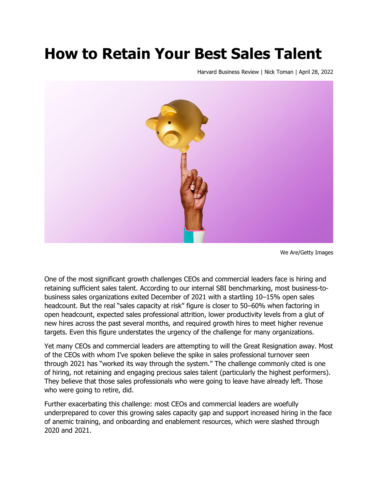# **How to Retain Your Best Sales Talent**

Harvard Business Review | Nick Toman | April 28, 2022



We Are/Getty Images

One of the most significant growth challenges CEOs and commercial leaders face is hiring and retaining sufficient sales talent. According to our internal SBI benchmarking, most business-tobusiness sales organizations exited December of 2021 with a startling 10–15% open sales headcount. But the real "sales capacity at risk" figure is closer to 50-60% when factoring in open headcount, expected sales professional attrition, lower productivity levels from a glut of new hires across the past several months, and required growth hires to meet higher revenue targets. Even this figure understates the urgency of the challenge for many organizations.

Yet many CEOs and commercial leaders are attempting to will the Great Resignation away. Most of the CEOs with whom I've spoken believe the spike in sales professional turnover seen through 2021 has "worked its way through the system." The challenge commonly cited is one of hiring, not retaining and engaging precious sales talent (particularly the highest performers). They believe that those sales professionals who were going to leave have already left. Those who were going to retire, did.

Further exacerbating this challenge: most CEOs and commercial leaders are woefully underprepared to cover this growing sales capacity gap and support increased hiring in the face of anemic training, and onboarding and enablement resources, which were slashed through 2020 and 2021.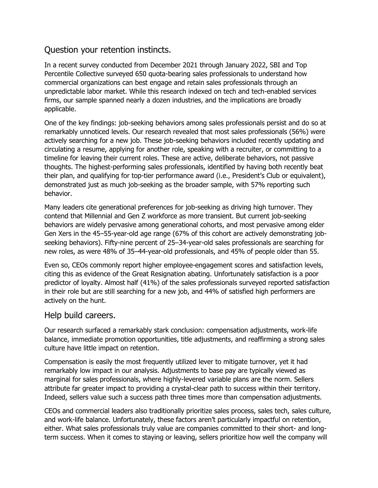## Question your retention instincts.

In a recent survey conducted from December 2021 through January 2022, SBI and Top Percentile Collective surveyed 650 quota-bearing sales professionals to understand how commercial organizations can best engage and retain sales professionals through an unpredictable labor market. While this research indexed on tech and tech-enabled services firms, our sample spanned nearly a dozen industries, and the implications are broadly applicable.

One of the key findings: job-seeking behaviors among sales professionals persist and do so at remarkably unnoticed levels. Our research revealed that most sales professionals (56%) were actively searching for a new job. These job-seeking behaviors included recently updating and circulating a resume, applying for another role, speaking with a recruiter, or committing to a timeline for leaving their current roles. These are active, deliberate behaviors, not passive thoughts. The highest-performing sales professionals, identified by having both recently beat their plan, and qualifying for top-tier performance award (i.e., President's Club or equivalent), demonstrated just as much job-seeking as the broader sample, with 57% reporting such behavior.

Many leaders cite generational preferences for job-seeking as driving high turnover. They contend that Millennial and Gen Z workforce as more transient. But current job-seeking behaviors are widely pervasive among generational cohorts, and most pervasive among elder Gen Xers in the 45–55-year-old age range (67% of this cohort are actively demonstrating jobseeking behaviors). Fifty-nine percent of 25–34-year-old sales professionals are searching for new roles, as were 48% of 35–44-year-old professionals, and 45% of people older than 55.

Even so, CEOs commonly report higher employee-engagement scores and satisfaction levels, citing this as evidence of the Great Resignation abating. Unfortunately satisfaction is a poor predictor of loyalty. Almost half (41%) of the sales professionals surveyed reported satisfaction in their role but are still searching for a new job, and 44% of satisfied high performers are actively on the hunt.

#### Help build careers.

Our research surfaced a remarkably stark conclusion: compensation adjustments, work-life balance, immediate promotion opportunities, title adjustments, and reaffirming a strong sales culture have little impact on retention.

Compensation is easily the most frequently utilized lever to mitigate turnover, yet it had remarkably low impact in our analysis. Adjustments to base pay are typically viewed as marginal for sales professionals, where highly-levered variable plans are the norm. Sellers attribute far greater impact to providing a crystal-clear path to success within their territory. Indeed, sellers value such a success path three times more than compensation adjustments.

CEOs and commercial leaders also traditionally prioritize sales process, sales tech, sales culture, and work-life balance. Unfortunately, these factors aren't particularly impactful on retention, either. What sales professionals truly value are companies committed to their short- and longterm success. When it comes to staying or leaving, sellers prioritize how well the company will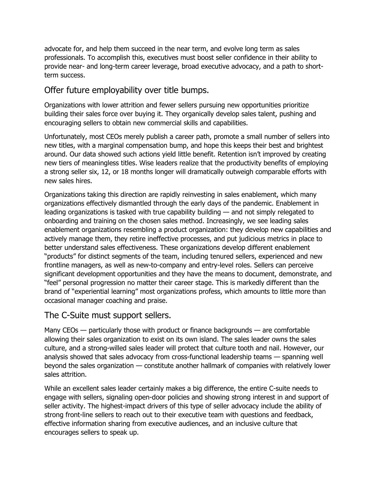advocate for, and help them succeed in the near term, and evolve long term as sales professionals. To accomplish this, executives must boost seller confidence in their ability to provide near- and long-term career leverage, broad executive advocacy, and a path to shortterm success.

### Offer future employability over title bumps.

Organizations with lower attrition and fewer sellers pursuing new opportunities prioritize building their sales force over buying it. They organically develop sales talent, pushing and encouraging sellers to obtain new commercial skills and capabilities.

Unfortunately, most CEOs merely publish a career path, promote a small number of sellers into new titles, with a marginal compensation bump, and hope this keeps their best and brightest around. Our data showed such actions yield little benefit. Retention isn't improved by creating new tiers of meaningless titles. Wise leaders realize that the productivity benefits of employing a strong seller six, 12, or 18 months longer will dramatically outweigh comparable efforts with new sales hires.

Organizations taking this direction are rapidly reinvesting in sales enablement, which many organizations effectively dismantled through the early days of the pandemic. Enablement in leading organizations is tasked with true capability building — and not simply relegated to onboarding and training on the chosen sales method. Increasingly, we see leading sales enablement organizations resembling a product organization: they develop new capabilities and actively manage them, they retire ineffective processes, and put judicious metrics in place to better understand sales effectiveness. These organizations develop different enablement "products" for distinct segments of the team, including tenured sellers, experienced and new frontline managers, as well as new-to-company and entry-level roles. Sellers can perceive significant development opportunities and they have the means to document, demonstrate, and "feel" personal progression no matter their career stage. This is markedly different than the brand of "experiential learning" most organizations profess, which amounts to little more than occasional manager coaching and praise.

#### The C-Suite must support sellers.

Many CEOs — particularly those with product or finance backgrounds — are comfortable allowing their sales organization to exist on its own island. The sales leader owns the sales culture, and a strong-willed sales leader will protect that culture tooth and nail. However, our analysis showed that sales advocacy from cross-functional leadership teams — spanning well beyond the sales organization — constitute another hallmark of companies with relatively lower sales attrition.

While an excellent sales leader certainly makes a big difference, the entire C-suite needs to engage with sellers, signaling open-door policies and showing strong interest in and support of seller activity. The highest-impact drivers of this type of seller advocacy include the ability of strong front-line sellers to reach out to their executive team with questions and feedback, effective information sharing from executive audiences, and an inclusive culture that encourages sellers to speak up.